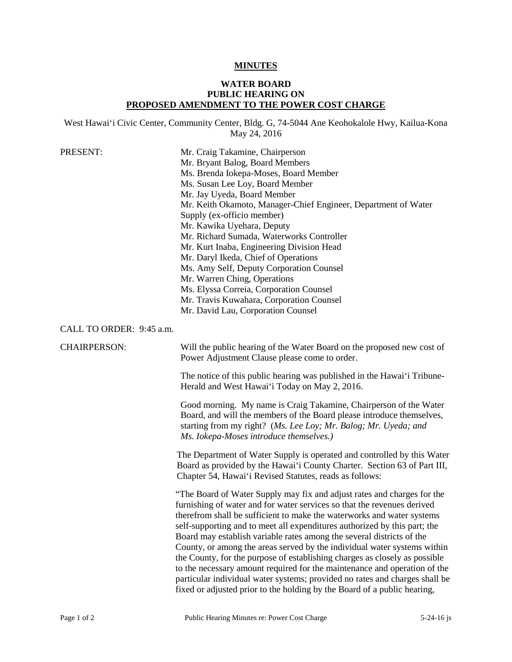## **MINUTES**

## **WATER BOARD PUBLIC HEARING ON PROPOSED AMENDMENT TO THE POWER COST CHARGE**

West Hawai'i Civic Center, Community Center, Bldg. G, 74-5044 Ane Keohokalole Hwy, Kailua-Kona May 24, 2016

| PRESENT:                 | Mr. Craig Takamine, Chairperson<br>Mr. Bryant Balog, Board Members<br>Ms. Brenda Iokepa-Moses, Board Member<br>Ms. Susan Lee Loy, Board Member<br>Mr. Jay Uyeda, Board Member<br>Mr. Keith Okamoto, Manager-Chief Engineer, Department of Water<br>Supply (ex-officio member)<br>Mr. Kawika Uyehara, Deputy<br>Mr. Richard Sumada, Waterworks Controller<br>Mr. Kurt Inaba, Engineering Division Head<br>Mr. Daryl Ikeda, Chief of Operations<br>Ms. Amy Self, Deputy Corporation Counsel<br>Mr. Warren Ching, Operations<br>Ms. Elyssa Correia, Corporation Counsel<br>Mr. Travis Kuwahara, Corporation Counsel<br>Mr. David Lau, Corporation Counsel                                                                                                                               |
|--------------------------|--------------------------------------------------------------------------------------------------------------------------------------------------------------------------------------------------------------------------------------------------------------------------------------------------------------------------------------------------------------------------------------------------------------------------------------------------------------------------------------------------------------------------------------------------------------------------------------------------------------------------------------------------------------------------------------------------------------------------------------------------------------------------------------|
| CALL TO ORDER: 9:45 a.m. |                                                                                                                                                                                                                                                                                                                                                                                                                                                                                                                                                                                                                                                                                                                                                                                      |
| <b>CHAIRPERSON:</b>      | Will the public hearing of the Water Board on the proposed new cost of<br>Power Adjustment Clause please come to order.                                                                                                                                                                                                                                                                                                                                                                                                                                                                                                                                                                                                                                                              |
|                          | The notice of this public hearing was published in the Hawai'i Tribune-<br>Herald and West Hawai'i Today on May 2, 2016.                                                                                                                                                                                                                                                                                                                                                                                                                                                                                                                                                                                                                                                             |
|                          | Good morning. My name is Craig Takamine, Chairperson of the Water<br>Board, and will the members of the Board please introduce themselves,<br>starting from my right? (Ms. Lee Loy; Mr. Balog; Mr. Uyeda; and<br>Ms. Iokepa-Moses introduce themselves.)                                                                                                                                                                                                                                                                                                                                                                                                                                                                                                                             |
|                          | The Department of Water Supply is operated and controlled by this Water<br>Board as provided by the Hawai'i County Charter. Section 63 of Part III,<br>Chapter 54, Hawai'i Revised Statutes, reads as follows:                                                                                                                                                                                                                                                                                                                                                                                                                                                                                                                                                                       |
|                          | "The Board of Water Supply may fix and adjust rates and charges for the<br>furnishing of water and for water services so that the revenues derived<br>therefrom shall be sufficient to make the waterworks and water systems<br>self-supporting and to meet all expenditures authorized by this part; the<br>Board may establish variable rates among the several districts of the<br>County, or among the areas served by the individual water systems within<br>the County, for the purpose of establishing charges as closely as possible<br>to the necessary amount required for the maintenance and operation of the<br>particular individual water systems; provided no rates and charges shall be<br>fixed or adjusted prior to the holding by the Board of a public hearing, |